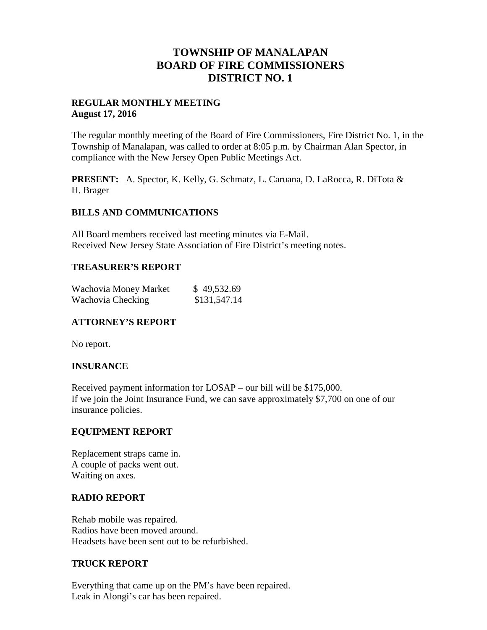# **TOWNSHIP OF MANALAPAN BOARD OF FIRE COMMISSIONERS DISTRICT NO. 1**

# **REGULAR MONTHLY MEETING August 17, 2016**

The regular monthly meeting of the Board of Fire Commissioners, Fire District No. 1, in the Township of Manalapan, was called to order at 8:05 p.m. by Chairman Alan Spector, in compliance with the New Jersey Open Public Meetings Act.

**PRESENT:** A. Spector, K. Kelly, G. Schmatz, L. Caruana, D. LaRocca, R. DiTota & H. Brager

# **BILLS AND COMMUNICATIONS**

All Board members received last meeting minutes via E-Mail. Received New Jersey State Association of Fire District's meeting notes.

#### **TREASURER'S REPORT**

| Wachovia Money Market | \$49,532.69  |
|-----------------------|--------------|
| Wachovia Checking     | \$131,547.14 |

# **ATTORNEY'S REPORT**

No report.

# **INSURANCE**

Received payment information for LOSAP – our bill will be \$175,000. If we join the Joint Insurance Fund, we can save approximately \$7,700 on one of our insurance policies.

# **EQUIPMENT REPORT**

Replacement straps came in. A couple of packs went out. Waiting on axes.

#### **RADIO REPORT**

Rehab mobile was repaired. Radios have been moved around. Headsets have been sent out to be refurbished.

#### **TRUCK REPORT**

Everything that came up on the PM's have been repaired. Leak in Alongi's car has been repaired.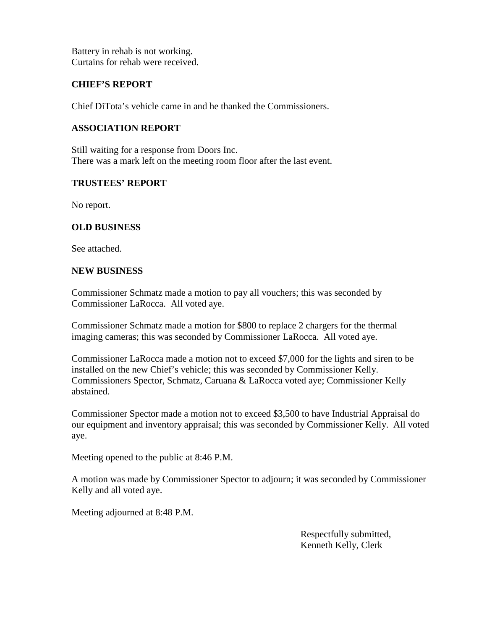Battery in rehab is not working. Curtains for rehab were received.

# **CHIEF'S REPORT**

Chief DiTota's vehicle came in and he thanked the Commissioners.

# **ASSOCIATION REPORT**

Still waiting for a response from Doors Inc. There was a mark left on the meeting room floor after the last event.

# **TRUSTEES' REPORT**

No report.

# **OLD BUSINESS**

See attached.

# **NEW BUSINESS**

Commissioner Schmatz made a motion to pay all vouchers; this was seconded by Commissioner LaRocca. All voted aye.

Commissioner Schmatz made a motion for \$800 to replace 2 chargers for the thermal imaging cameras; this was seconded by Commissioner LaRocca. All voted aye.

Commissioner LaRocca made a motion not to exceed \$7,000 for the lights and siren to be installed on the new Chief's vehicle; this was seconded by Commissioner Kelly. Commissioners Spector, Schmatz, Caruana & LaRocca voted aye; Commissioner Kelly abstained.

Commissioner Spector made a motion not to exceed \$3,500 to have Industrial Appraisal do our equipment and inventory appraisal; this was seconded by Commissioner Kelly. All voted aye.

Meeting opened to the public at 8:46 P.M.

A motion was made by Commissioner Spector to adjourn; it was seconded by Commissioner Kelly and all voted aye.

Meeting adjourned at 8:48 P.M.

Respectfully submitted, Kenneth Kelly, Clerk